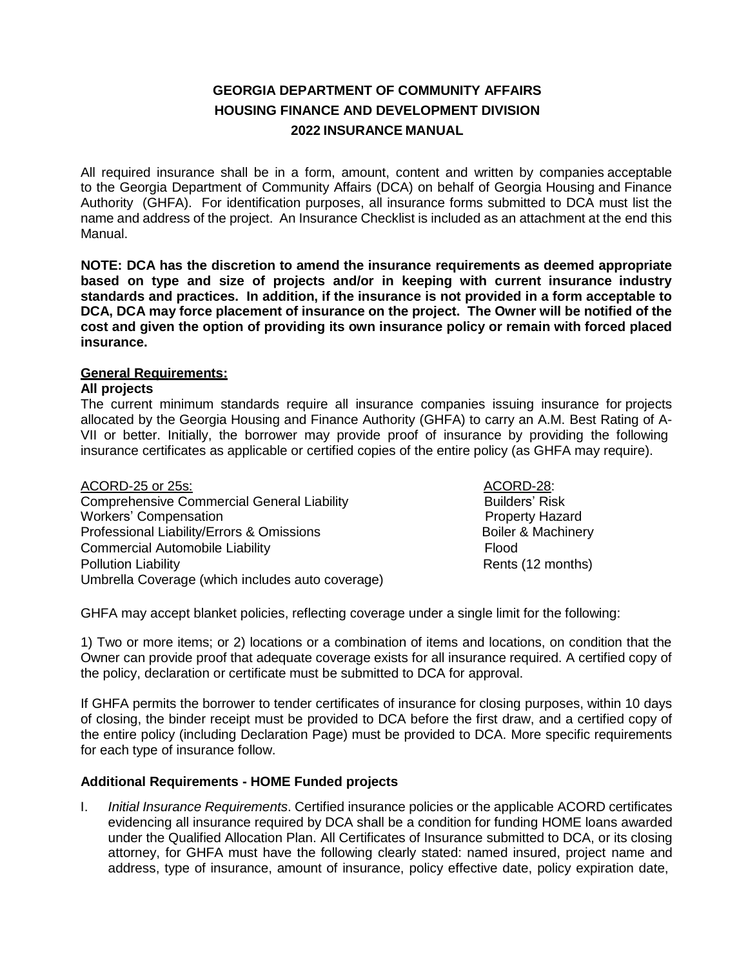# **GEORGIA DEPARTMENT OF COMMUNITY AFFAIRS HOUSING FINANCE AND DEVELOPMENT DIVISION 2022 INSURANCE MANUAL**

All required insurance shall be in a form, amount, content and written by companies acceptable to the Georgia Department of Community Affairs (DCA) on behalf of Georgia Housing and Finance Authority (GHFA). For identification purposes, all insurance forms submitted to DCA must list the name and address of the project. An Insurance Checklist is included as an attachment at the end this Manual.

**NOTE: DCA has the discretion to amend the insurance requirements as deemed appropriate based on type and size of projects and/or in keeping with current insurance industry standards and practices. In addition, if the insurance is not provided in a form acceptable to DCA, DCA may force placement of insurance on the project. The Owner will be notified of the cost and given the option of providing its own insurance policy or remain with forced placed insurance.**

# **General Requirements:**

#### **All projects**

The current minimum standards require all insurance companies issuing insurance for projects allocated by the Georgia Housing and Finance Authority (GHFA) to carry an A.M. Best Rating of A-VII or better. Initially, the borrower may provide proof of insurance by providing the following insurance certificates as applicable or certified copies of the entire policy (as GHFA may require).

| ACORD-25 or 25s:                                  | ACORD-28:                     |
|---------------------------------------------------|-------------------------------|
| <b>Comprehensive Commercial General Liability</b> | <b>Builders' Risk</b>         |
| <b>Workers' Compensation</b>                      | <b>Property Hazard</b>        |
| Professional Liability/Errors & Omissions         | <b>Boiler &amp; Machinery</b> |
| <b>Commercial Automobile Liability</b>            | Flood                         |
| <b>Pollution Liability</b>                        | Rents (12 months)             |
| Umbrella Coverage (which includes auto coverage)  |                               |

GHFA may accept blanket policies, reflecting coverage under a single limit for the following:

1) Two or more items; or 2) locations or a combination of items and locations, on condition that the Owner can provide proof that adequate coverage exists for all insurance required. A certified copy of the policy, declaration or certificate must be submitted to DCA for approval.

If GHFA permits the borrower to tender certificates of insurance for closing purposes, within 10 days of closing, the binder receipt must be provided to DCA before the first draw, and a certified copy of the entire policy (including Declaration Page) must be provided to DCA. More specific requirements for each type of insurance follow.

# **Additional Requirements - HOME Funded projects**

I. *Initial Insurance Requirements*. Certified insurance policies or the applicable ACORD certificates evidencing all insurance required by DCA shall be a condition for funding HOME loans awarded under the Qualified Allocation Plan. All Certificates of Insurance submitted to DCA, or its closing attorney, for GHFA must have the following clearly stated: named insured, project name and address, type of insurance, amount of insurance, policy effective date, policy expiration date,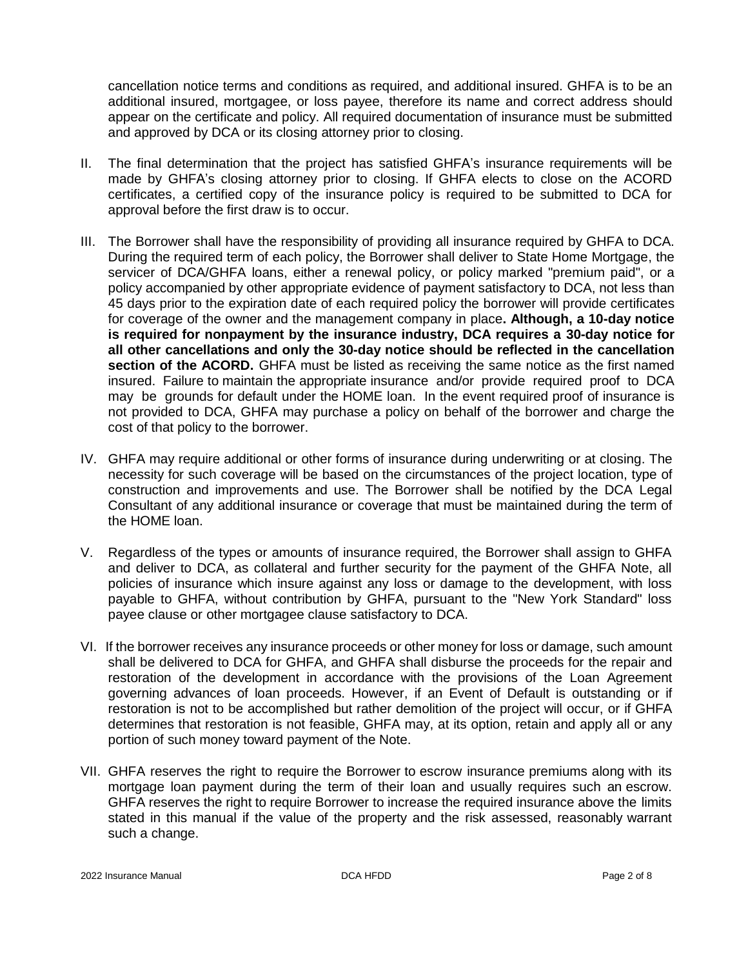cancellation notice terms and conditions as required, and additional insured. GHFA is to be an additional insured, mortgagee, or loss payee, therefore its name and correct address should appear on the certificate and policy. All required documentation of insurance must be submitted and approved by DCA or its closing attorney prior to closing.

- II. The final determination that the project has satisfied GHFA's insurance requirements will be made by GHFA's closing attorney prior to closing. If GHFA elects to close on the ACORD certificates, a certified copy of the insurance policy is required to be submitted to DCA for approval before the first draw is to occur.
- III. The Borrower shall have the responsibility of providing all insurance required by GHFA to DCA. During the required term of each policy, the Borrower shall deliver to State Home Mortgage, the servicer of DCA/GHFA loans, either a renewal policy, or policy marked "premium paid", or a policy accompanied by other appropriate evidence of payment satisfactory to DCA, not less than 45 days prior to the expiration date of each required policy the borrower will provide certificates for coverage of the owner and the management company in place**. Although, a 10-day notice is required for nonpayment by the insurance industry, DCA requires a 30-day notice for all other cancellations and only the 30-day notice should be reflected in the cancellation section of the ACORD.** GHFA must be listed as receiving the same notice as the first named insured. Failure to maintain the appropriate insurance and/or provide required proof to DCA may be grounds for default under the HOME loan. In the event required proof of insurance is not provided to DCA, GHFA may purchase a policy on behalf of the borrower and charge the cost of that policy to the borrower.
- IV. GHFA may require additional or other forms of insurance during underwriting or at closing. The necessity for such coverage will be based on the circumstances of the project location, type of construction and improvements and use. The Borrower shall be notified by the DCA Legal Consultant of any additional insurance or coverage that must be maintained during the term of the HOME loan.
- V. Regardless of the types or amounts of insurance required, the Borrower shall assign to GHFA and deliver to DCA, as collateral and further security for the payment of the GHFA Note, all policies of insurance which insure against any loss or damage to the development, with loss payable to GHFA, without contribution by GHFA, pursuant to the "New York Standard" loss payee clause or other mortgagee clause satisfactory to DCA.
- VI. If the borrower receives any insurance proceeds or other money for loss or damage, such amount shall be delivered to DCA for GHFA, and GHFA shall disburse the proceeds for the repair and restoration of the development in accordance with the provisions of the Loan Agreement governing advances of loan proceeds. However, if an Event of Default is outstanding or if restoration is not to be accomplished but rather demolition of the project will occur, or if GHFA determines that restoration is not feasible, GHFA may, at its option, retain and apply all or any portion of such money toward payment of the Note.
- VII. GHFA reserves the right to require the Borrower to escrow insurance premiums along with its mortgage loan payment during the term of their loan and usually requires such an escrow. GHFA reserves the right to require Borrower to increase the required insurance above the limits stated in this manual if the value of the property and the risk assessed, reasonably warrant such a change.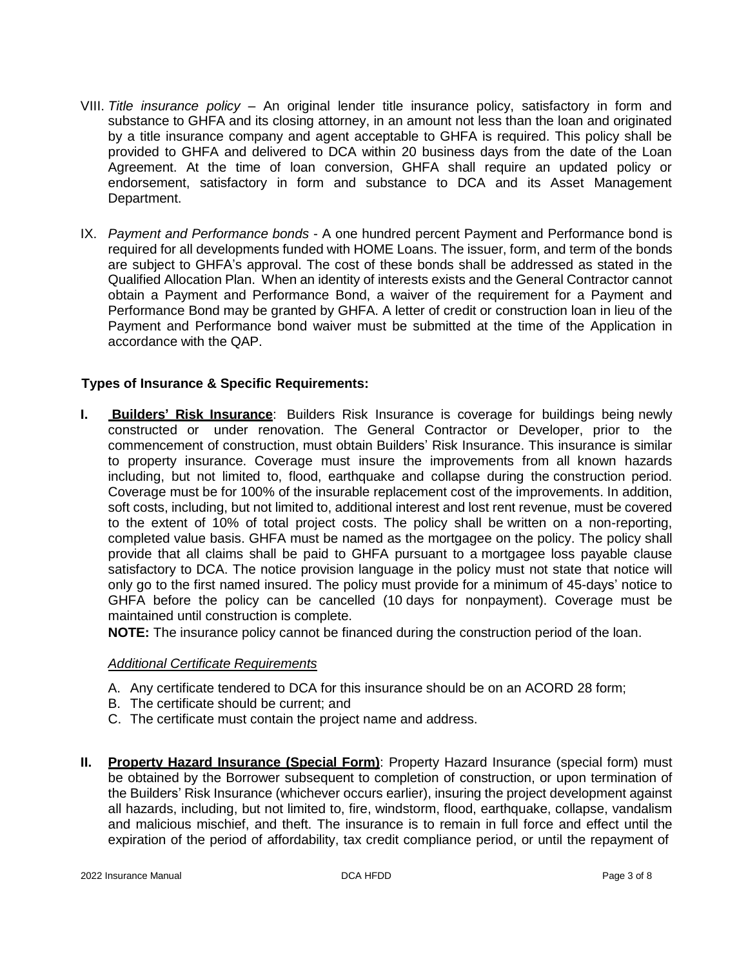- VIII. *Title insurance policy* An original lender title insurance policy, satisfactory in form and substance to GHFA and its closing attorney, in an amount not less than the loan and originated by a title insurance company and agent acceptable to GHFA is required. This policy shall be provided to GHFA and delivered to DCA within 20 business days from the date of the Loan Agreement. At the time of loan conversion, GHFA shall require an updated policy or endorsement, satisfactory in form and substance to DCA and its Asset Management Department.
- IX. *Payment and Performance bonds* A one hundred percent Payment and Performance bond is required for all developments funded with HOME Loans. The issuer, form, and term of the bonds are subject to GHFA's approval. The cost of these bonds shall be addressed as stated in the Qualified Allocation Plan. When an identity of interests exists and the General Contractor cannot obtain a Payment and Performance Bond, a waiver of the requirement for a Payment and Performance Bond may be granted by GHFA. A letter of credit or construction loan in lieu of the Payment and Performance bond waiver must be submitted at the time of the Application in accordance with the QAP.

# **Types of Insurance & Specific Requirements:**

**I. Builders' Risk Insurance**: Builders Risk Insurance is coverage for buildings being newly constructed or under renovation. The General Contractor or Developer, prior to the commencement of construction, must obtain Builders' Risk Insurance. This insurance is similar to property insurance. Coverage must insure the improvements from all known hazards including, but not limited to, flood, earthquake and collapse during the construction period. Coverage must be for 100% of the insurable replacement cost of the improvements. In addition, soft costs, including, but not limited to, additional interest and lost rent revenue, must be covered to the extent of 10% of total project costs. The policy shall be written on a non-reporting, completed value basis. GHFA must be named as the mortgagee on the policy. The policy shall provide that all claims shall be paid to GHFA pursuant to a mortgagee loss payable clause satisfactory to DCA. The notice provision language in the policy must not state that notice will only go to the first named insured. The policy must provide for a minimum of 45-days' notice to GHFA before the policy can be cancelled (10 days for nonpayment). Coverage must be maintained until construction is complete.

**NOTE:** The insurance policy cannot be financed during the construction period of the loan.

#### *Additional Certificate Requirements*

- A. Any certificate tendered to DCA for this insurance should be on an ACORD 28 form;
- B. The certificate should be current; and
- C. The certificate must contain the project name and address.
- **II. Property Hazard Insurance (Special Form)**: Property Hazard Insurance (special form) must be obtained by the Borrower subsequent to completion of construction, or upon termination of the Builders' Risk Insurance (whichever occurs earlier), insuring the project development against all hazards, including, but not limited to, fire, windstorm, flood, earthquake, collapse, vandalism and malicious mischief, and theft. The insurance is to remain in full force and effect until the expiration of the period of affordability, tax credit compliance period, or until the repayment of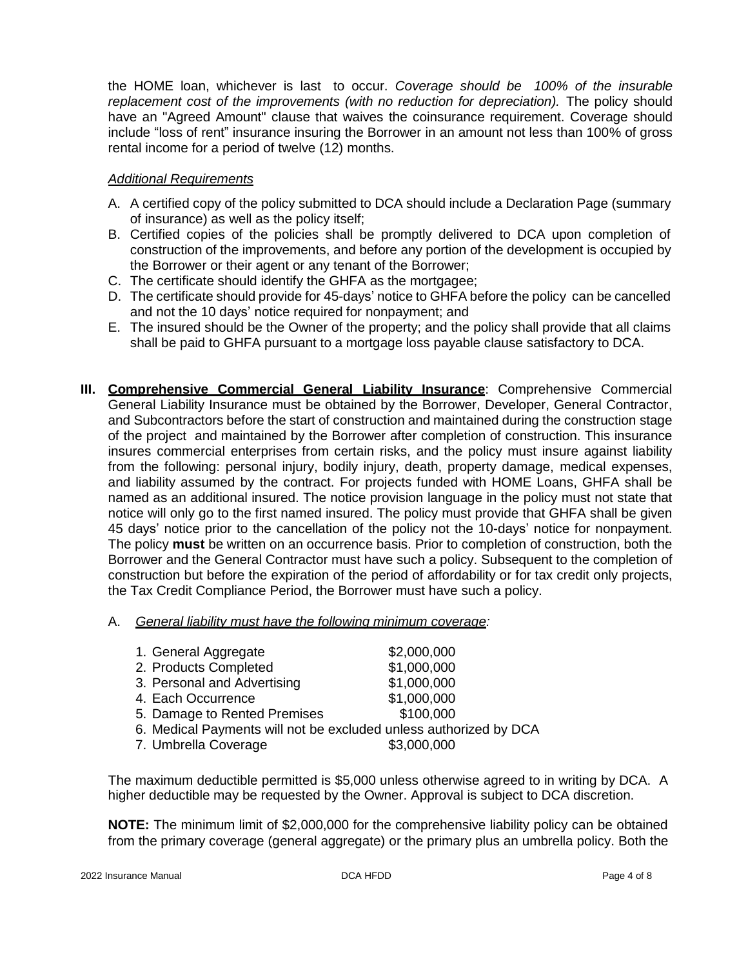the HOME loan, whichever is last to occur. *Coverage should be 100% of the insurable replacement cost of the improvements (with no reduction for depreciation).* The policy should have an "Agreed Amount" clause that waives the coinsurance requirement. Coverage should include "loss of rent" insurance insuring the Borrower in an amount not less than 100% of gross rental income for a period of twelve (12) months.

## *Additional Requirements*

- A. A certified copy of the policy submitted to DCA should include a Declaration Page (summary of insurance) as well as the policy itself;
- B. Certified copies of the policies shall be promptly delivered to DCA upon completion of construction of the improvements, and before any portion of the development is occupied by the Borrower or their agent or any tenant of the Borrower;
- C. The certificate should identify the GHFA as the mortgagee;
- D. The certificate should provide for 45-days' notice to GHFA before the policy can be cancelled and not the 10 days' notice required for nonpayment; and
- E. The insured should be the Owner of the property; and the policy shall provide that all claims shall be paid to GHFA pursuant to a mortgage loss payable clause satisfactory to DCA.
- **III. Comprehensive Commercial General Liability Insurance**: Comprehensive Commercial General Liability Insurance must be obtained by the Borrower, Developer, General Contractor, and Subcontractors before the start of construction and maintained during the construction stage of the project and maintained by the Borrower after completion of construction. This insurance insures commercial enterprises from certain risks, and the policy must insure against liability from the following: personal injury, bodily injury, death, property damage, medical expenses, and liability assumed by the contract. For projects funded with HOME Loans, GHFA shall be named as an additional insured. The notice provision language in the policy must not state that notice will only go to the first named insured. The policy must provide that GHFA shall be given 45 days' notice prior to the cancellation of the policy not the 10-days' notice for nonpayment. The policy **must** be written on an occurrence basis. Prior to completion of construction, both the Borrower and the General Contractor must have such a policy. Subsequent to the completion of construction but before the expiration of the period of affordability or for tax credit only projects, the Tax Credit Compliance Period, the Borrower must have such a policy.
	- A. *General liability must have the following minimum coverage:*

| 1. General Aggregate                                              | \$2,000,000 |
|-------------------------------------------------------------------|-------------|
| 2. Products Completed                                             | \$1,000,000 |
| 3. Personal and Advertising                                       | \$1,000,000 |
| 4. Each Occurrence                                                | \$1,000,000 |
| 5. Damage to Rented Premises                                      | \$100,000   |
| 6. Medical Payments will not be excluded unless authorized by DCA |             |

7. Umbrella Coverage  $$3,000,000$ 

The maximum deductible permitted is \$5,000 unless otherwise agreed to in writing by DCA. A higher deductible may be requested by the Owner. Approval is subject to DCA discretion.

**NOTE:** The minimum limit of \$2,000,000 for the comprehensive liability policy can be obtained from the primary coverage (general aggregate) or the primary plus an umbrella policy. Both the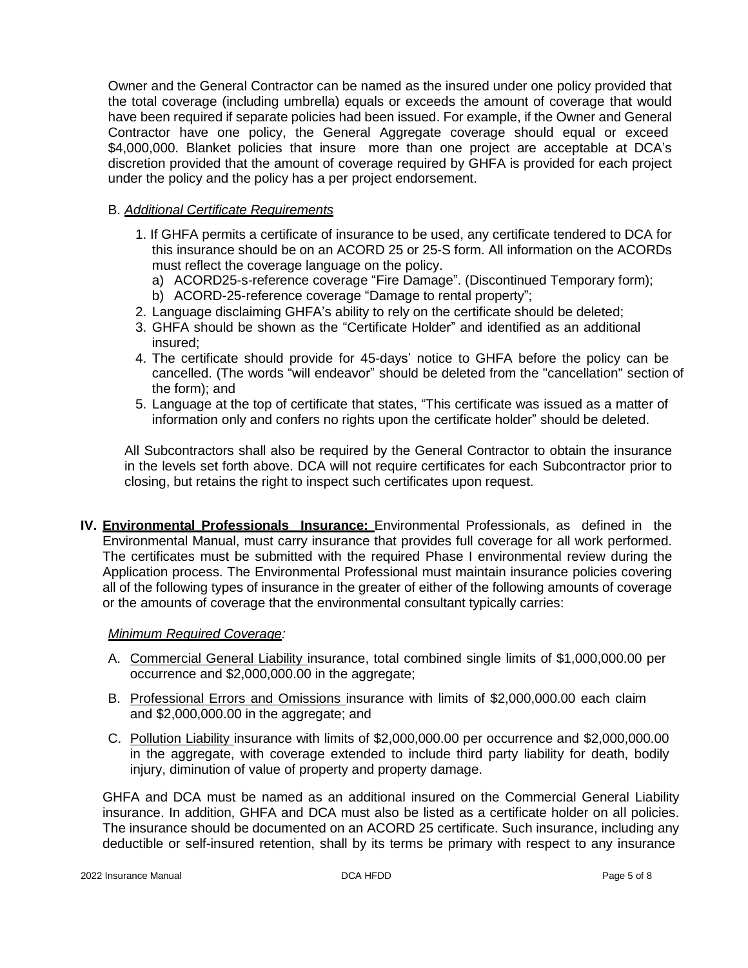Owner and the General Contractor can be named as the insured under one policy provided that the total coverage (including umbrella) equals or exceeds the amount of coverage that would have been required if separate policies had been issued. For example, if the Owner and General Contractor have one policy, the General Aggregate coverage should equal or exceed \$4,000,000. Blanket policies that insure more than one project are acceptable at DCA's discretion provided that the amount of coverage required by GHFA is provided for each project under the policy and the policy has a per project endorsement.

### B. *Additional Certificate Requirements*

- 1. If GHFA permits a certificate of insurance to be used, any certificate tendered to DCA for this insurance should be on an ACORD 25 or 25-S form. All information on the ACORDs must reflect the coverage language on the policy.
	- a) ACORD25-s-reference coverage "Fire Damage". (Discontinued Temporary form);
	- b) ACORD-25-reference coverage "Damage to rental property";
- 2. Language disclaiming GHFA's ability to rely on the certificate should be deleted;
- 3. GHFA should be shown as the "Certificate Holder" and identified as an additional insured;
- 4. The certificate should provide for 45-days' notice to GHFA before the policy can be cancelled. (The words "will endeavor" should be deleted from the "cancellation" section of the form); and
- 5. Language at the top of certificate that states, "This certificate was issued as a matter of information only and confers no rights upon the certificate holder" should be deleted.

All Subcontractors shall also be required by the General Contractor to obtain the insurance in the levels set forth above. DCA will not require certificates for each Subcontractor prior to closing, but retains the right to inspect such certificates upon request.

**IV. Environmental Professionals Insurance:** Environmental Professionals, as defined in the Environmental Manual, must carry insurance that provides full coverage for all work performed. The certificates must be submitted with the required Phase I environmental review during the Application process. The Environmental Professional must maintain insurance policies covering all of the following types of insurance in the greater of either of the following amounts of coverage or the amounts of coverage that the environmental consultant typically carries:

#### *Minimum Required Coverage:*

- A. Commercial General Liability insurance, total combined single limits of \$1,000,000.00 per occurrence and \$2,000,000.00 in the aggregate;
- B. Professional Errors and Omissions insurance with limits of \$2,000,000.00 each claim and \$2,000,000.00 in the aggregate; and
- C. Pollution Liability insurance with limits of \$2,000,000.00 per occurrence and \$2,000,000.00 in the aggregate, with coverage extended to include third party liability for death, bodily injury, diminution of value of property and property damage.

GHFA and DCA must be named as an additional insured on the Commercial General Liability insurance. In addition, GHFA and DCA must also be listed as a certificate holder on all policies. The insurance should be documented on an ACORD 25 certificate. Such insurance, including any deductible or self-insured retention, shall by its terms be primary with respect to any insurance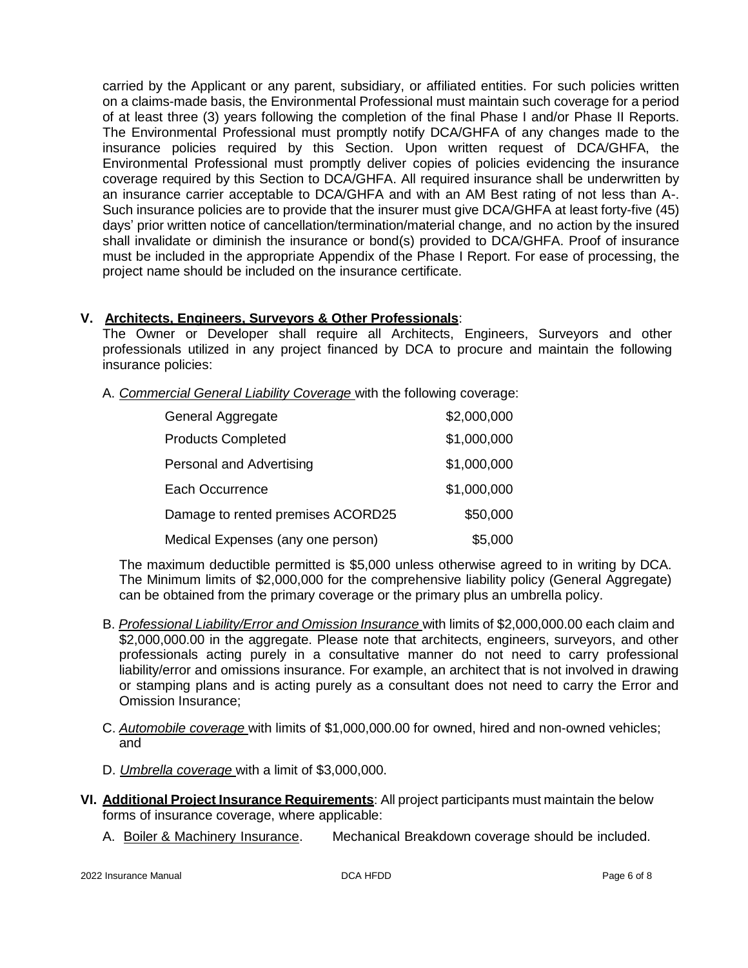carried by the Applicant or any parent, subsidiary, or affiliated entities. For such policies written on a claims-made basis, the Environmental Professional must maintain such coverage for a period of at least three (3) years following the completion of the final Phase I and/or Phase II Reports. The Environmental Professional must promptly notify DCA/GHFA of any changes made to the insurance policies required by this Section. Upon written request of DCA/GHFA, the Environmental Professional must promptly deliver copies of policies evidencing the insurance coverage required by this Section to DCA/GHFA. All required insurance shall be underwritten by an insurance carrier acceptable to DCA/GHFA and with an AM Best rating of not less than A-. Such insurance policies are to provide that the insurer must give DCA/GHFA at least forty-five (45) days' prior written notice of cancellation/termination/material change, and no action by the insured shall invalidate or diminish the insurance or bond(s) provided to DCA/GHFA. Proof of insurance must be included in the appropriate Appendix of the Phase I Report. For ease of processing, the project name should be included on the insurance certificate.

# **V. Architects, Engineers, Surveyors & Other Professionals**:

The Owner or Developer shall require all Architects, Engineers, Surveyors and other professionals utilized in any project financed by DCA to procure and maintain the following insurance policies:

A. *Commercial General Liability Coverage* with the following coverage:

| General Aggregate                 | \$2,000,000 |
|-----------------------------------|-------------|
| <b>Products Completed</b>         | \$1,000,000 |
| Personal and Advertising          | \$1,000,000 |
| Each Occurrence                   | \$1,000,000 |
| Damage to rented premises ACORD25 | \$50,000    |
| Medical Expenses (any one person) | \$5,000     |

The maximum deductible permitted is \$5,000 unless otherwise agreed to in writing by DCA. The Minimum limits of \$2,000,000 for the comprehensive liability policy (General Aggregate) can be obtained from the primary coverage or the primary plus an umbrella policy.

- B. *Professional Liability/Error and Omission Insurance* with limits of \$2,000,000.00 each claim and \$2,000,000.00 in the aggregate. Please note that architects, engineers, surveyors, and other professionals acting purely in a consultative manner do not need to carry professional liability/error and omissions insurance. For example, an architect that is not involved in drawing or stamping plans and is acting purely as a consultant does not need to carry the Error and Omission Insurance;
- C. *Automobile coverage* with limits of \$1,000,000.00 for owned, hired and non-owned vehicles; and
- D. *Umbrella coverage* with a limit of \$3,000,000.
- **VI. Additional Project Insurance Requirements**: All project participants must maintain the below forms of insurance coverage, where applicable:
	- A. Boiler & Machinery Insurance. Mechanical Breakdown coverage should be included.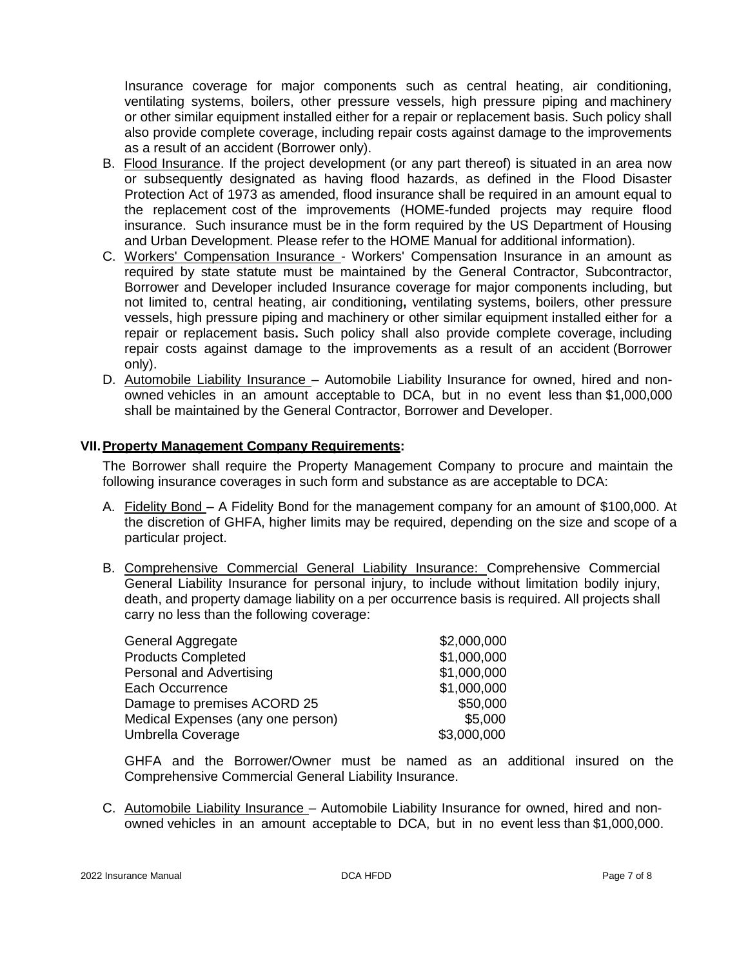Insurance coverage for major components such as central heating, air conditioning, ventilating systems, boilers, other pressure vessels, high pressure piping and machinery or other similar equipment installed either for a repair or replacement basis. Such policy shall also provide complete coverage, including repair costs against damage to the improvements as a result of an accident (Borrower only).

- B. Flood Insurance. If the project development (or any part thereof) is situated in an area now or subsequently designated as having flood hazards, as defined in the Flood Disaster Protection Act of 1973 as amended, flood insurance shall be required in an amount equal to the replacement cost of the improvements (HOME-funded projects may require flood insurance. Such insurance must be in the form required by the US Department of Housing and Urban Development. Please refer to the HOME Manual for additional information).
- C. Workers' Compensation Insurance Workers' Compensation Insurance in an amount as required by state statute must be maintained by the General Contractor, Subcontractor, Borrower and Developer included Insurance coverage for major components including, but not limited to, central heating, air conditioning**,** ventilating systems, boilers, other pressure vessels, high pressure piping and machinery or other similar equipment installed either for a repair or replacement basis**.** Such policy shall also provide complete coverage, including repair costs against damage to the improvements as a result of an accident (Borrower only).
- D. Automobile Liability Insurance Automobile Liability Insurance for owned, hired and nonowned vehicles in an amount acceptable to DCA, but in no event less than \$1,000,000 shall be maintained by the General Contractor, Borrower and Developer.

#### **VII.Property Management Company Requirements:**

The Borrower shall require the Property Management Company to procure and maintain the following insurance coverages in such form and substance as are acceptable to DCA:

- A. Fidelity Bond A Fidelity Bond for the management company for an amount of \$100,000. At the discretion of GHFA, higher limits may be required, depending on the size and scope of a particular project.
- B. Comprehensive Commercial General Liability Insurance: Comprehensive Commercial General Liability Insurance for personal injury, to include without limitation bodily injury, death, and property damage liability on a per occurrence basis is required. All projects shall carry no less than the following coverage:

| \$2,000,000 |
|-------------|
| \$1,000,000 |
| \$1,000,000 |
| \$1,000,000 |
| \$50,000    |
| \$5,000     |
| \$3,000,000 |
|             |

GHFA and the Borrower/Owner must be named as an additional insured on the Comprehensive Commercial General Liability Insurance.

C. Automobile Liability Insurance – Automobile Liability Insurance for owned, hired and nonowned vehicles in an amount acceptable to DCA, but in no event less than \$1,000,000.

2022 Insurance Manual **DCA HFDD Page 7 of 8** and 2022 Insurance Manual Page 7 of 8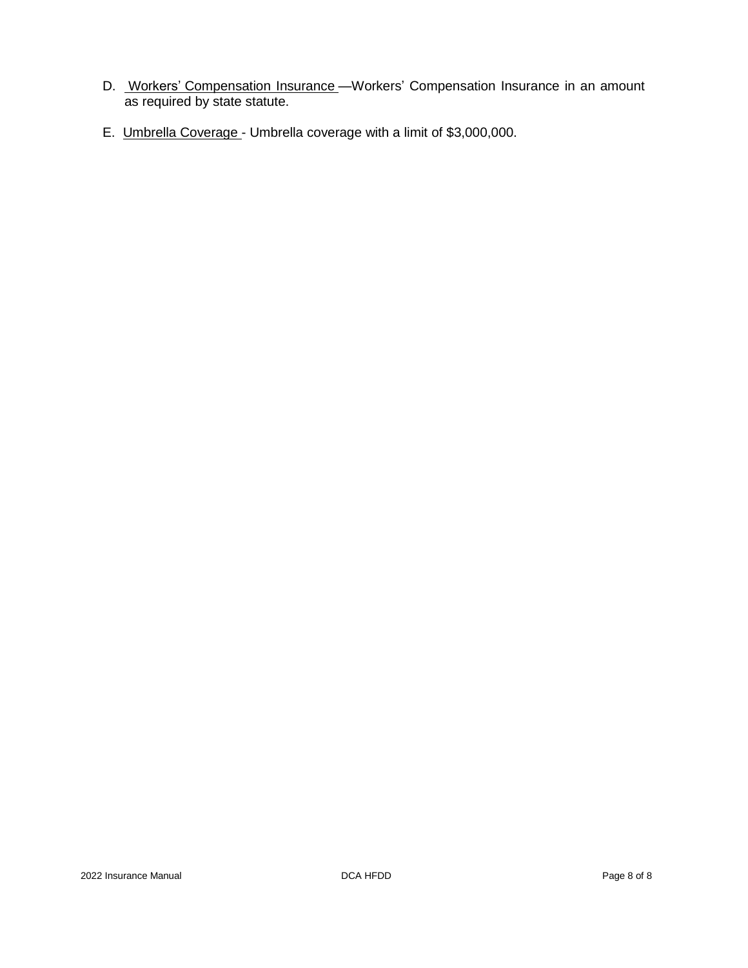- D. Workers' Compensation Insurance Workers' Compensation Insurance in an amount as required by state statute.
- E. Umbrella Coverage Umbrella coverage with a limit of \$3,000,000.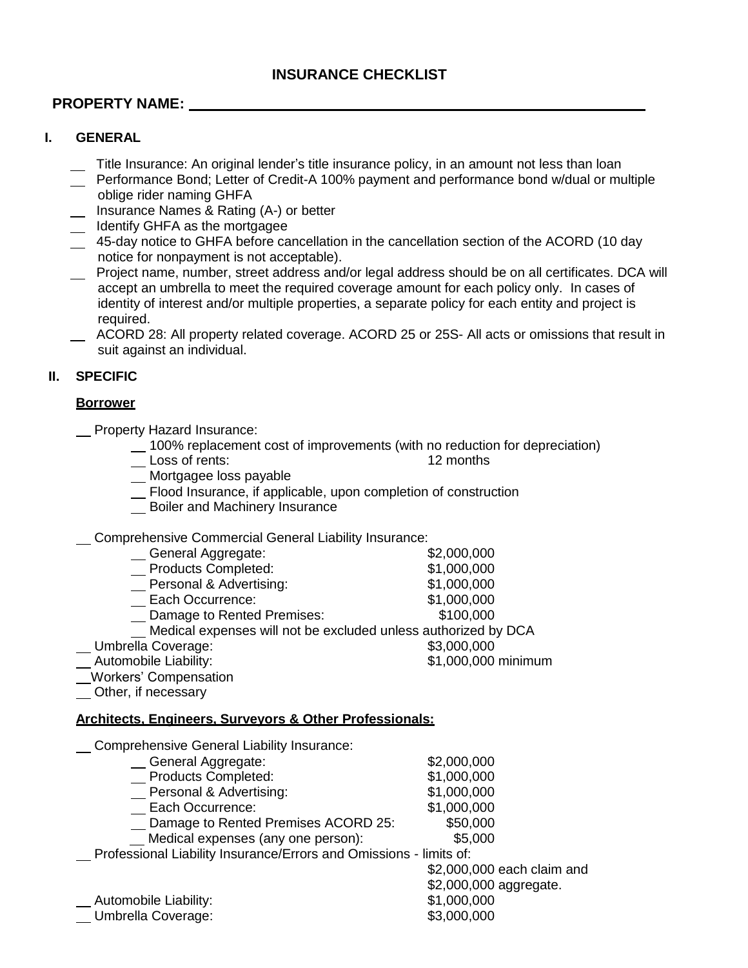# **PROPERTY NAME:**

# **I. GENERAL**

- Title Insurance: An original lender's title insurance policy, in an amount not less than loan
- Performance Bond; Letter of Credit-A 100% payment and performance bond w/dual or multiple oblige rider naming GHFA
- Insurance Names & Rating (A-) or better
- Latter Identify GHFA as the mortgagee
- 45-day notice to GHFA before cancellation in the cancellation section of the ACORD (10 day notice for nonpayment is not acceptable).
- Project name, number, street address and/or legal address should be on all certificates. DCA will accept an umbrella to meet the required coverage amount for each policy only. In cases of identity of interest and/or multiple properties, a separate policy for each entity and project is required.
- ACORD 28: All property related coverage. ACORD 25 or 25S- All acts or omissions that result in suit against an individual.

# **II. SPECIFIC**

### **Borrower**

- **\_\_ Property Hazard Insurance:** 
	- 100% replacement cost of improvements (with no reduction for depreciation)<br>Loss of rents: 12 months 12 months
	-
	- \_ Mortgagee loss payable
	- Flood Insurance, if applicable, upon completion of construction
	- **Boiler and Machinery Insurance**

Comprehensive Commercial General Liability Insurance:

- Ceneral Aggregate: \$2,000,000 Products Completed: \$1,000,000 **Fig. 2** Personal & Advertising: \$1,000,000 Each Occurrence: \$1,000,000 Damage to Rented Premises: \$100,000 Medical expenses will not be excluded unless authorized by DCA
- Lacktrian Umbrella Coverage: the Contraction of the S3,000,000 state of the S3,000,000
- Automobile Liability:  $$1,000,000$  minimum

Workers' Compensation

Other, if necessary

# **Architects, Engineers, Surveyors & Other Professionals:**

Comprehensive General Liability Insurance:

| General Aggregate:                                                 | \$2,000,000      |  |
|--------------------------------------------------------------------|------------------|--|
| Products Completed:                                                | \$1,000,000      |  |
| Personal & Advertising:                                            | \$1,000,000      |  |
| Each Occurrence:                                                   | \$1,000,000      |  |
| _ Damage to Rented Premises ACORD 25:                              | \$50,000         |  |
| Medical expenses (any one person):                                 | \$5,000          |  |
| Professional Liability Insurance/Errors and Omissions - limits of: |                  |  |
|                                                                    | \$2,000,000 each |  |
|                                                                    |                  |  |

Automobile Liability:  $$1,000,000$ Umbrella Coverage:  $$3,000,000$ 

claim and \$2,000,000 aggregate.